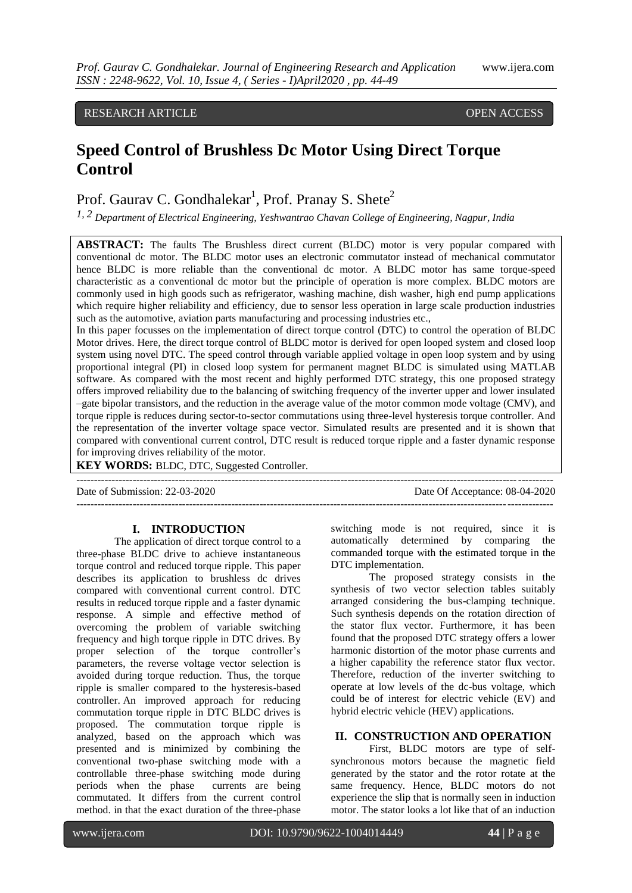# RESEARCH ARTICLE **CONSERVERS** OPEN ACCESS

# **Speed Control of Brushless Dc Motor Using Direct Torque Control**

Prof. Gaurav C. Gondhalekar<sup>1</sup>, Prof. Pranay S. Shete<sup>2</sup>

*1, 2 Department of Electrical Engineering, Yeshwantrao Chavan College of Engineering, Nagpur, India*

**ABSTRACT:** The faults The Brushless direct current (BLDC) motor is very popular compared with conventional dc motor. The BLDC motor uses an electronic commutator instead of mechanical commutator hence BLDC is more reliable than the conventional dc motor. A BLDC motor has same torque-speed characteristic as a conventional dc motor but the principle of operation is more complex. BLDC motors are commonly used in high goods such as refrigerator, washing machine, dish washer, high end pump applications which require higher reliability and efficiency, due to sensor less operation in large scale production industries such as the automotive, aviation parts manufacturing and processing industries etc.,

In this paper focusses on the implementation of direct torque control (DTC) to control the operation of BLDC Motor drives. Here, the direct torque control of BLDC motor is derived for open looped system and closed loop system using novel DTC. The speed control through variable applied voltage in open loop system and by using proportional integral (PI) in closed loop system for permanent magnet BLDC is simulated using MATLAB software. As compared with the most recent and highly performed DTC strategy, this one proposed strategy offers improved reliability due to the balancing of switching frequency of the inverter upper and lower insulated –gate bipolar transistors, and the reduction in the average value of the motor common mode voltage (CMV), and torque ripple is reduces during sector-to-sector commutations using three-level hysteresis torque controller. And the representation of the inverter voltage space vector. Simulated results are presented and it is shown that compared with conventional current control, DTC result is reduced torque ripple and a faster dynamic response for improving drives reliability of the motor.

---------------------------------------------------------------------------------------------------------------------------------------

**KEY WORDS:** BLDC, DTC, Suggested Controller.

Date of Submission: 22-03-2020 Date Of Acceptance: 08-04-2020

---------------------------------------------------------------------------------------------------------------------------------------

#### **I. INTRODUCTION**

The application of direct torque control to a three-phase BLDC drive to achieve instantaneous torque control and reduced torque ripple. This paper describes its application to brushless dc drives compared with conventional current control. DTC results in reduced torque ripple and a faster dynamic response. A simple and effective method of overcoming the problem of variable switching frequency and high torque ripple in DTC drives. By proper selection of the torque controller's parameters, the reverse voltage vector selection is avoided during torque reduction. Thus, the torque ripple is smaller compared to the hysteresis-based controller. An improved approach for reducing commutation torque ripple in DTC BLDC drives is proposed. The commutation torque ripple is analyzed, based on the approach which was presented and is minimized by combining the conventional two-phase switching mode with a controllable three-phase switching mode during periods when the phase currents are being commutated. It differs from the current control method. in that the exact duration of the three-phase

switching mode is not required, since it is automatically determined by comparing the commanded torque with the estimated torque in the DTC implementation.

The proposed strategy consists in the synthesis of two vector selection tables suitably arranged considering the bus-clamping technique. Such synthesis depends on the rotation direction of the stator flux vector. Furthermore, it has been found that the proposed DTC strategy offers a lower harmonic distortion of the motor phase currents and a higher capability the reference stator flux vector. Therefore, reduction of the inverter switching to operate at low levels of the dc-bus voltage, which could be of interest for electric vehicle (EV) and hybrid electric vehicle (HEV) applications.

## **II. CONSTRUCTION AND OPERATION**

First, BLDC motors are type of selfsynchronous motors because the magnetic field generated by the stator and the rotor rotate at the same frequency. Hence, BLDC motors do not experience the slip that is normally seen in induction motor. The stator looks a lot like that of an induction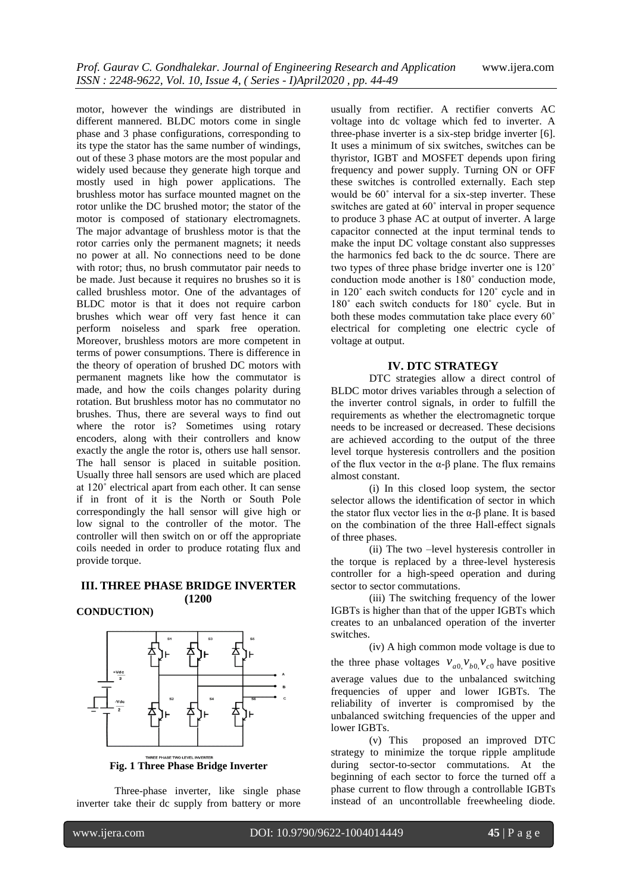motor, however the windings are distributed in different mannered. BLDC motors come in single phase and 3 phase configurations, corresponding to its type the stator has the same number of windings, out of these 3 phase motors are the most popular and widely used because they generate high torque and mostly used in high power applications. The brushless motor has surface mounted magnet on the rotor unlike the DC brushed motor; the stator of the motor is composed of stationary electromagnets. The major advantage of brushless motor is that the rotor carries only the permanent magnets; it needs no power at all. No connections need to be done with rotor; thus, no brush commutator pair needs to be made. Just because it requires no brushes so it is called brushless motor. One of the advantages of BLDC motor is that it does not require carbon brushes which wear off very fast hence it can perform noiseless and spark free operation. Moreover, brushless motors are more competent in terms of power consumptions. There is difference in the theory of operation of brushed DC motors with permanent magnets like how the commutator is made, and how the coils changes polarity during rotation. But brushless motor has no commutator no brushes. Thus, there are several ways to find out where the rotor is? Sometimes using rotary encoders, along with their controllers and know exactly the angle the rotor is, others use hall sensor. The hall sensor is placed in suitable position. Usually three hall sensors are used which are placed at 120˚ electrical apart from each other. It can sense if in front of it is the North or South Pole correspondingly the hall sensor will give high or low signal to the controller of the motor. The controller will then switch on or off the appropriate coils needed in order to produce rotating flux and provide torque.

#### **III. THREE PHASE BRIDGE INVERTER (1200**

**CONDUCTION)**



**Fig. 1 Three Phase Bridge Inverter**

Three-phase inverter, like single phase inverter take their dc supply from battery or more usually from rectifier. A rectifier converts AC voltage into dc voltage which fed to inverter. A three-phase inverter is a six-step bridge inverter [6]. It uses a minimum of six switches, switches can be thyristor, IGBT and MOSFET depends upon firing frequency and power supply. Turning ON or OFF these switches is controlled externally. Each step would be 60˚ interval for a six-step inverter. These switches are gated at 60˚ interval in proper sequence to produce 3 phase AC at output of inverter. A large capacitor connected at the input terminal tends to make the input DC voltage constant also suppresses the harmonics fed back to the dc source. There are two types of three phase bridge inverter one is 120˚ conduction mode another is 180˚ conduction mode, in 120˚ each switch conducts for 120˚ cycle and in 180˚ each switch conducts for 180˚ cycle. But in both these modes commutation take place every 60˚ electrical for completing one electric cycle of voltage at output.

### **IV. DTC STRATEGY**

DTC strategies allow a direct control of BLDC motor drives variables through a selection of the inverter control signals, in order to fulfill the requirements as whether the electromagnetic torque needs to be increased or decreased. These decisions are achieved according to the output of the three level torque hysteresis controllers and the position of the flux vector in the  $\alpha$ - $\beta$  plane. The flux remains almost constant.

(i) In this closed loop system, the sector selector allows the identification of sector in which the stator flux vector lies in the α-β plane. It is based on the combination of the three Hall-effect signals of three phases.

(ii) The two –level hysteresis controller in the torque is replaced by a three-level hysteresis controller for a high-speed operation and during sector to sector commutations.

(iii) The switching frequency of the lower IGBTs is higher than that of the upper IGBTs which creates to an unbalanced operation of the inverter switches.

(iv) A high common mode voltage is due to the three phase voltages  $v_{a0}$ ,  $v_{b0}$ ,  $v_{c0}$  have positive average values due to the unbalanced switching frequencies of upper and lower IGBTs. The reliability of inverter is compromised by the unbalanced switching frequencies of the upper and lower IGBTs.

(v) This proposed an improved DTC strategy to minimize the torque ripple amplitude during sector-to-sector commutations. At the beginning of each sector to force the turned off a phase current to flow through a controllable IGBTs instead of an uncontrollable freewheeling diode.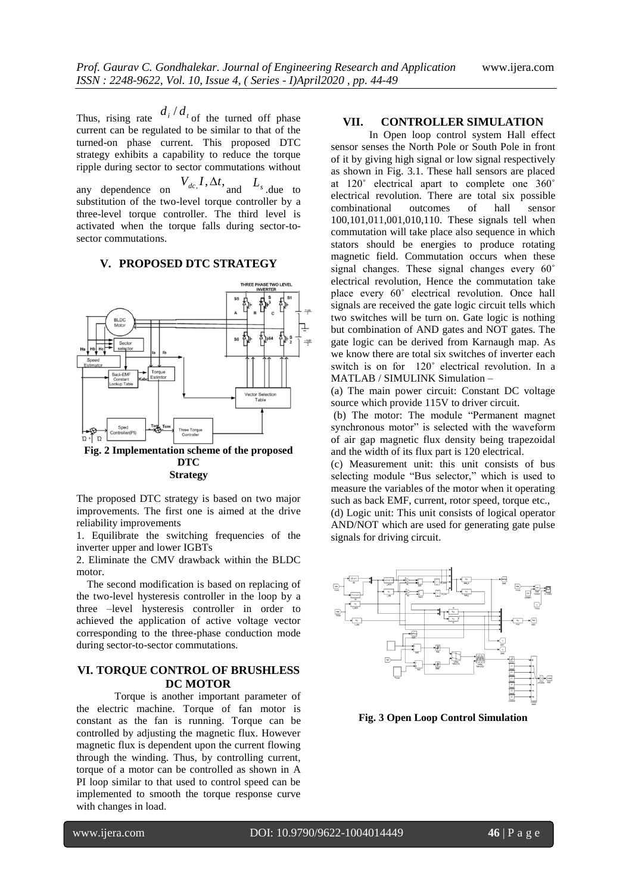Thus, rising rate  $\frac{d_i}{dt}$  of the turned off phase current can be regulated to be similar to that of the turned-on phase current. This proposed DTC strategy exhibits a capability to reduce the torque ripple during sector to sector commutations without any dependence on  $V_{dc}$ ,  $I$ ,  $\Delta t$ , and  $L_s$  due to substitution of the two-level torque controller by a three-level torque controller. The third level is activated when the torque falls during sector-tosector commutations.

#### **V. PROPOSED DTC STRATEGY**



The proposed DTC strategy is based on two major improvements. The first one is aimed at the drive reliability improvements

1. Equilibrate the switching frequencies of the inverter upper and lower IGBTs

2. Eliminate the CMV drawback within the BLDC motor.

 The second modification is based on replacing of the two-level hysteresis controller in the loop by a three –level hysteresis controller in order to achieved the application of active voltage vector corresponding to the three-phase conduction mode during sector-to-sector commutations.

#### **VI. TORQUE CONTROL OF BRUSHLESS DC MOTOR**

Torque is another important parameter of the electric machine. Torque of fan motor is constant as the fan is running. Torque can be controlled by adjusting the magnetic flux. However magnetic flux is dependent upon the current flowing through the winding. Thus, by controlling current, torque of a motor can be controlled as shown in A PI loop similar to that used to control speed can be implemented to smooth the torque response curve with changes in load.

#### **VII. CONTROLLER SIMULATION**

In Open loop control system Hall effect sensor senses the North Pole or South Pole in front of it by giving high signal or low signal respectively as shown in Fig. 3.1. These hall sensors are placed at 120˚ electrical apart to complete one 360˚ electrical revolution. There are total six possible combinational outcomes of hall sensor 100,101,011,001,010,110. These signals tell when commutation will take place also sequence in which stators should be energies to produce rotating magnetic field. Commutation occurs when these signal changes. These signal changes every 60˚ electrical revolution, Hence the commutation take place every 60˚ electrical revolution. Once hall signals are received the gate logic circuit tells which two switches will be turn on. Gate logic is nothing but combination of AND gates and NOT gates. The gate logic can be derived from Karnaugh map. As we know there are total six switches of inverter each switch is on for 120˚ electrical revolution. In a MATLAB / SIMULINK Simulation –

(a) The main power circuit: Constant DC voltage source which provide 115V to driver circuit.

(b) The motor: The module "Permanent magnet" synchronous motor" is selected with the waveform of air gap magnetic flux density being trapezoidal and the width of its flux part is 120 electrical.

(c) Measurement unit: this unit consists of bus selecting module "Bus selector," which is used to measure the variables of the motor when it operating such as back EMF, current, rotor speed, torque etc., (d) Logic unit: This unit consists of logical operator AND/NOT which are used for generating gate pulse signals for driving circuit.



**Fig. 3 Open Loop Control Simulation**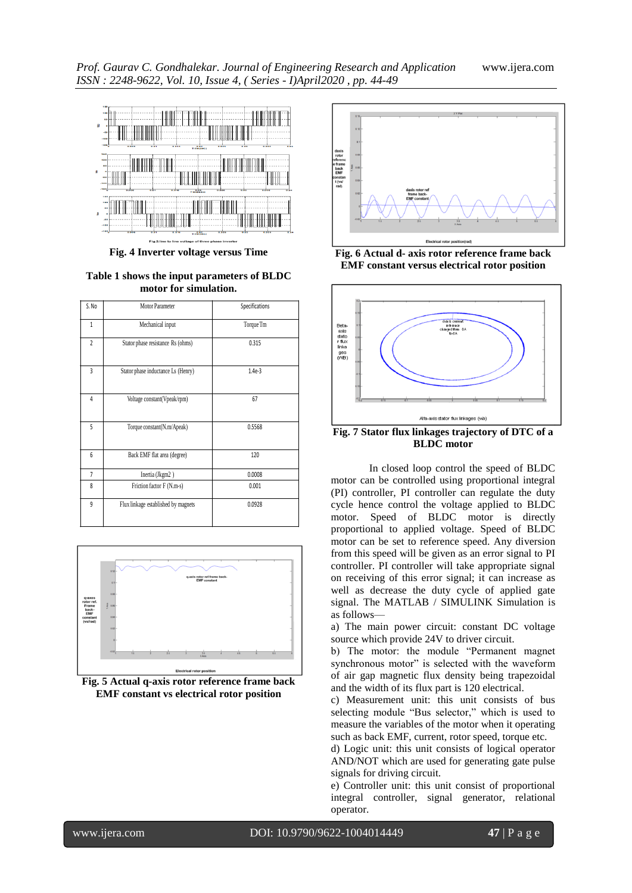

**Fig. 4 Inverter voltage versus Time**

**Table 1 shows the input parameters of BLDC motor for simulation.**

| S.No           | Motor Parameter                     | Specifications |
|----------------|-------------------------------------|----------------|
| $\mathbf{1}$   | Mechanical input                    | Torque Tm      |
| $\overline{c}$ | Stator phase resistance Rs (ohms)   | 0.315          |
| 3              | Stator phase inductance Ls (Henry)  | $1.4e-3$       |
| 4              | Voltage constant(Vpeak/rpm)         | 67             |
| 5              | Torque constant(N.m/Apeak)          | 0.5568         |
| 6              | Back EMF flat area (degree)         | 120            |
| 7              | Inertia (Jkgm2)                     | 0.0008         |
| 8              | Friction factor F (N.m-s)           | 0.001          |
| 9              | Flux linkage established by magnets | 0.0928         |



**Fig. 5 Actual q-axis rotor reference frame back EMF constant vs electrical rotor position**







**Fig. 7 Stator flux linkages trajectory of DTC of a BLDC motor**

In closed loop control the speed of BLDC motor can be controlled using proportional integral (PI) controller, PI controller can regulate the duty cycle hence control the voltage applied to BLDC motor. Speed of BLDC motor is directly proportional to applied voltage. Speed of BLDC motor can be set to reference speed. Any diversion from this speed will be given as an error signal to PI controller. PI controller will take appropriate signal on receiving of this error signal; it can increase as well as decrease the duty cycle of applied gate signal. The MATLAB / SIMULINK Simulation is as follows—

a) The main power circuit: constant DC voltage source which provide 24V to driver circuit.

b) The motor: the module "Permanent magnet synchronous motor" is selected with the waveform of air gap magnetic flux density being trapezoidal and the width of its flux part is 120 electrical.

c) Measurement unit: this unit consists of bus selecting module "Bus selector," which is used to measure the variables of the motor when it operating such as back EMF, current, rotor speed, torque etc.

d) Logic unit: this unit consists of logical operator AND/NOT which are used for generating gate pulse signals for driving circuit.

e) Controller unit: this unit consist of proportional integral controller, signal generator, relational operator.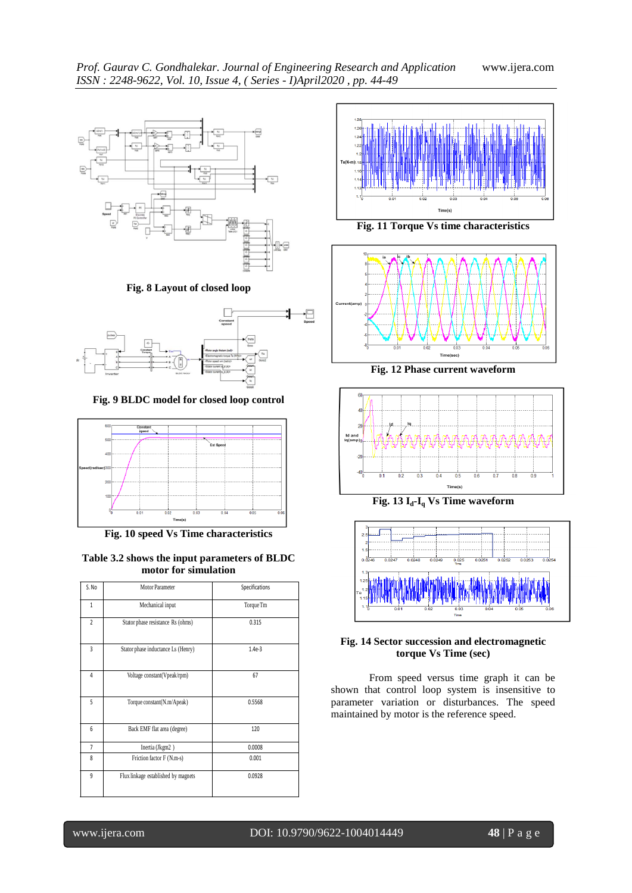

**Fig. 8 Layout of closed loop**



**Fig. 9 BLDC model for closed loop control**



**Fig. 10 speed Vs Time characteristics**

#### **Table 3.2 shows the input parameters of BLDC motor for simulation**

| S.No           | Motor Parameter                     | Specifications |
|----------------|-------------------------------------|----------------|
| $\mathbf{1}$   | Mechanical input                    | Torque Tm      |
| $\overline{2}$ | Stator phase resistance Rs (ohms)   | 0.315          |
| 3              | Stator phase inductance Ls (Henry)  | $1.4e-3$       |
| 4              | Voltage constant(Vpeak/rpm)         | 67             |
| 5              | Torque constant(N.m/Apeak)          | 0.5568         |
| 6              | Back EMF flat area (degree)         | 120            |
| $\overline{7}$ | Inertia (Jkgm2)                     | 0.0008         |
| 8              | Friction factor F (N.m-s)           | 0.001          |
| 9              | Flux linkage established by magnets | 0.0928         |



**Fig. 11 Torque Vs time characteristics**



**Fig. 12 Phase current waveform**



**Fig. 13 Id-I<sup>q</sup> Vs Time waveform**



**Fig. 14 Sector succession and electromagnetic torque Vs Time (sec)**

From speed versus time graph it can be shown that control loop system is insensitive to parameter variation or disturbances. The speed maintained by motor is the reference speed.